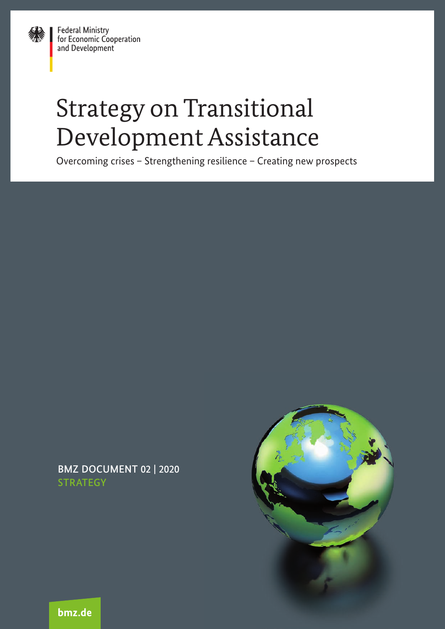**Federal Ministry** Federal Ministry<br>for Economic Cooperation<br>and Development

# Strategy on Transitional Development Assistance

Overcoming crises – Strengthening resilience – Creating new prospects

**BMZ DOCUMENT 02 | 2020** STRATEGY



bmz.de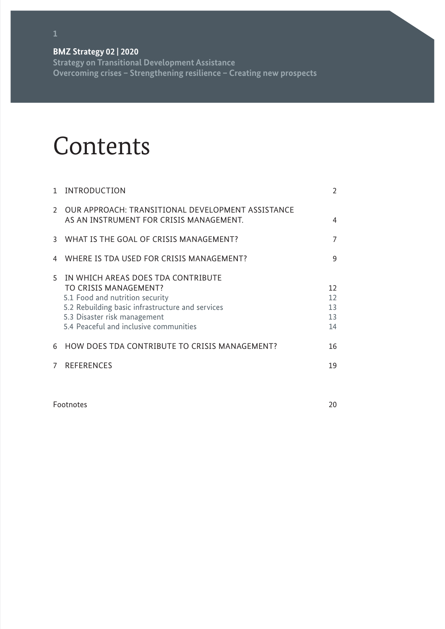**Strategy on Transitional Development Assistance Overcoming crises – Strengthening resilience – Creating new prospects** 

## **Contents**

| $\mathbf{1}$ | INTRODUCTION                                                                                                                                                                                                                 | $\overline{2}$             |
|--------------|------------------------------------------------------------------------------------------------------------------------------------------------------------------------------------------------------------------------------|----------------------------|
|              | 2 OUR APPROACH: TRANSITIONAL DEVELOPMENT ASSISTANCE<br>AS AN INSTRUMENT FOR CRISIS MANAGEMENT.                                                                                                                               | 4                          |
|              | 3 WHAT IS THE GOAL OF CRISIS MANAGEMENT?                                                                                                                                                                                     | 7                          |
| 4            | WHERE IS TDA USED FOR CRISIS MANAGEMENT?                                                                                                                                                                                     | 9                          |
| 5            | IN WHICH AREAS DOES TDA CONTRIBUTE<br>TO CRISIS MANAGEMENT?<br>5.1 Food and nutrition security<br>5.2 Rebuilding basic infrastructure and services<br>5.3 Disaster risk management<br>5.4 Peaceful and inclusive communities | 12<br>12<br>13<br>13<br>14 |
| 6            | HOW DOES TDA CONTRIBUTE TO CRISIS MANAGEMENT?                                                                                                                                                                                | 16                         |
| $7^{\circ}$  | <b>REFERENCES</b>                                                                                                                                                                                                            | 19                         |

Footnotes 20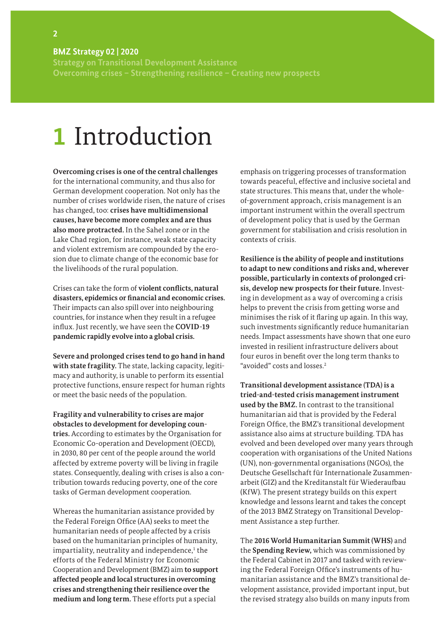<span id="page-3-0"></span>**Strategy on Transitional Development Assistance Overcoming crises – Strengthening resilience – Creating new prospects** 

## **1** Introduction

**Overcoming crises is one of the central challenges** for the international community, and thus also for German development cooperation. Not only has the number of crises worldwide risen, the nature of crises has changed, too: **crises have multidimensional causes, have become more complex and are thus also more protracted.** In the Sahel zone or in the Lake Chad region, for instance, weak state capacity and violent extremism are compounded by the erosion due to climate change of the economic base for the livelihoods of the rural population.

Crises can take the form of **violent conflicts, natural disasters, epidemics or financial and economic crises.**  Their impacts can also spill over into neighbouring countries, for instance when they result in a refugee influx. Just recently, we have seen the **COVID-19 pandemic rapidly evolve into a global crisis.**

**Severe and prolonged crises tend to go hand in hand with state fragility.** The state, lacking capacity, legitimacy and authority, is unable to perform its essential protective functions, ensure respect for human rights or meet the basic needs of the population.

**Fragility and vulnerability to crises are major obstacles to development for developing countries.** According to estimates by the Organisation for Economic Co-operation and Development (OECD), in 2030, 80 per cent of the people around the world affected by extreme poverty will be living in fragile states. Consequently, dealing with crises is also a contribution towards reducing poverty, one of the core tasks of German development cooperation.

Whereas the humanitarian assistance provided by the Federal Foreign Office (AA) seeks to meet the humanitarian needs of people affected by a crisis based on the humanitarian principles of humanity, impartiality, neutrality and independence,<sup>1</sup> the efforts of the Federal Ministry for Economic Cooperation and Development (BMZ) aim **to support affected people and local structures in overcoming crises and strengthening their resilience over the medium and long term.** These efforts put a special

emphasis on triggering processes of transformation towards peaceful, effective and inclusive societal and state structures. This means that, under the wholeof-government approach, crisis management is an important instrument within the overall spectrum of development policy that is used by the German government for stabilisation and crisis resolution in contexts of crisis.

**Resilience is the ability of people and institutions to adapt to new conditions and risks and, wherever possible, particularly in contexts of prolonged crisis, develop new prospects for their future.** Investing in development as a way of overcoming a crisis helps to prevent the crisis from getting worse and minimises the risk of it flaring up again. In this way, such investments significantly reduce humanitarian needs. Impact assessments have shown that one euro invested in resilient infrastructure delivers about four euros in benefit over the long term thanks to "avoided" costs and losses.2

**Transitional development assistance (TDA) is a tried-and-tested crisis management instrument used by the BMZ.** In contrast to the transitional humanitarian aid that is provided by the Federal Foreign Office, the BMZ's transitional development assistance also aims at structure building. TDA has evolved and been developed over many years through cooperation with organisations of the United Nations (UN), non-governmental organisations (NGOs), the Deutsche Gesellschaft für Internationale Zusammenarbeit (GIZ) and the Kreditanstalt für Wiederaufbau (KfW). The present strategy builds on this expert knowledge and lessons learnt and takes the concept of the 2013 BMZ Strategy on Transitional Development Assistance a step further.

The **2016 World Humanitarian Summit (WHS)** and the **Spending Review,** which was commissioned by the Federal Cabinet in 2017 and tasked with reviewing the Federal Foreign Office's instruments of humanitarian assistance and the BMZ's transitional development assistance, provided important input, but the revised strategy also builds on many inputs from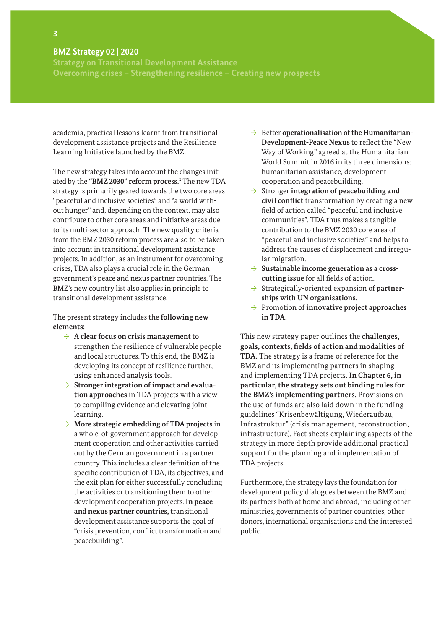**Strategy on Transitional Development Assistance Overcoming crises – Strengthening resilience – Creating new prospects** 

academia, practical lessons learnt from transitional development assistance projects and the Resilience Learning Initiative launched by the BMZ.

The new strategy takes into account the changes initiated by the **"BMZ 2030" reform process.3** The new TDA strategy is primarily geared towards the two core areas "peaceful and inclusive societies" and "a world without hunger" and, depending on the context, may also contribute to other core areas and initiative areas due to its multi-sector approach. The new quality criteria from the BMZ 2030 reform process are also to be taken into account in transitional development assistance projects. In addition, as an instrument for overcoming crises, TDA also plays a crucial role in the German government's peace and nexus partner countries. The BMZ's new country list also applies in principle to transitional development assistance.

The present strategy includes the **following new elements:**

- → **A clear focus on crisis management** to strengthen the resilience of vulnerable people and local structures. To this end, the BMZ is developing its concept of resilience further, using enhanced analysis tools.
- → **Stronger integration of impact and evaluation approaches** in TDA projects with a view to compiling evidence and elevating joint learning.
- → **More strategic embedding of TDA projects** in a whole-of-government approach for development cooperation and other activities carried out by the German government in a partner country. This includes a clear definition of the specific contribution of TDA, its objectives, and the exit plan for either successfully concluding the activities or transitioning them to other development cooperation projects. **In peace and nexus partner countries,** transitional development assistance supports the goal of "crisis prevention, conflict transformation and peacebuilding".
- → Better **operationalisation of the Humanitarian-Development-Peace Nexus** to reflect the "New Way of Working" agreed at the Humanitarian World Summit in 2016 in its three dimensions: humanitarian assistance, development cooperation and peacebuilding.
- → Stronger **integration of peacebuilding and civil conflict** transformation by creating a new field of action called "peaceful and inclusive communities". TDA thus makes a tangible contribution to the BMZ 2030 core area of "peaceful and inclusive societies" and helps to address the causes of displacement and irregular migration.
- → **Sustainable income generation as a crosscutting issue** for all fields of action.
- → Strategically-oriented expansion of **partnerships with UN organisations.**
- → Promotion of **innovative project approaches in TDA.**

This new strategy paper outlines the **challenges, goals, contexts, fields of action and modalities of TDA.** The strategy is a frame of reference for the BMZ and its implementing partners in shaping and implementing TDA projects. **In Chapter 6, in particular, the strategy sets out binding rules for the BMZ's implementing partners.** Provisions on the use of funds are also laid down in the funding guidelines "Krisenbewältigung, Wiederaufbau, Infrastruktur" (crisis management, reconstruction, infrastructure). Fact sheets explaining aspects of the strategy in more depth provide additional practical support for the planning and implementation of TDA projects.

Furthermore, the strategy lays the foundation for development policy dialogues between the BMZ and its partners both at home and abroad, including other ministries, governments of partner countries, other donors, international organisations and the interested public.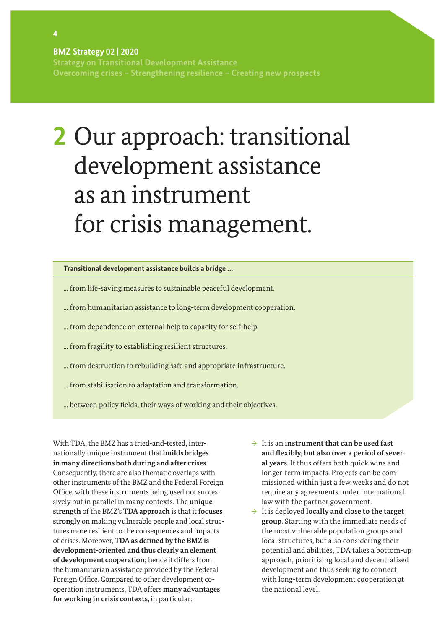**Strategy on Transitional Development Assistance Overcoming crises – Strengthening resilience – Creating new prospects** 

# **2** Our approach: transitional development assistance as an instrument for crisis management.

#### **Transitional development assistance builds a bridge ...**

- ... from life-saving measures to sustainable peaceful development.
- ... from humanitarian assistance to long-term development cooperation.
- ... from dependence on external help to capacity for self-help.
- ... from fragility to establishing resilient structures.
- ... from destruction to rebuilding safe and appropriate infrastructure.
- ... from stabilisation to adaptation and transformation.
- ... between policy fields, their ways of working and their objectives.

With TDA, the BMZ has a tried-and-tested, internationally unique instrument that **builds bridges in many directions both during and after crises.**  Consequently, there are also thematic overlaps with other instruments of the BMZ and the Federal Foreign Office, with these instruments being used not successively but in parallel in many contexts. The **unique strength** of the BMZ's **TDA approach** is that it **focuses strongly** on making vulnerable people and local structures more resilient to the consequences and impacts of crises. Moreover, **TDA as defined by the BMZ is development-oriented and thus clearly an element of development cooperation;** hence it differs from the humanitarian assistance provided by the Federal Foreign Office. Compared to other development cooperation instruments, TDA offers **many advantages for working in crisis contexts,** in particular:

- → It is an **instrument that can be used fast and flexibly, but also over a period of several years.** It thus offers both quick wins and longer-term impacts. Projects can be commissioned within just a few weeks and do not require any agreements under international law with the partner government.
- → It is deployed **locally and close to the target group.** Starting with the immediate needs of the most vulnerable population groups and local structures, but also considering their potential and abilities, TDA takes a bottom-up approach, prioritising local and decentralised development and thus seeking to connect with long-term development cooperation at the national level.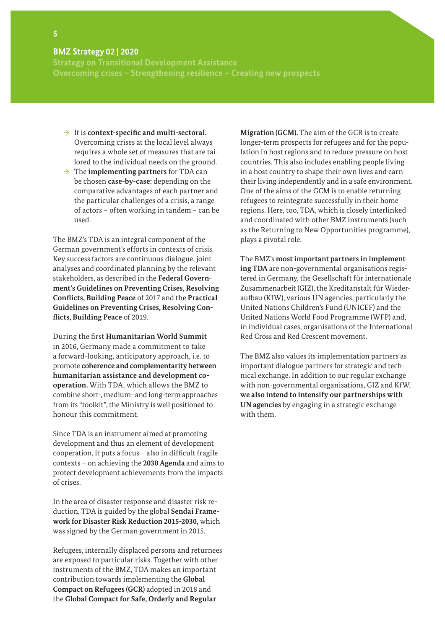**Strategy on Transitional Development Assistance Overcoming crises – Strengthening resilience – Creating new prospects** 

- → It is **context-specific and multi-sectoral.**  Overcoming crises at the local level always requires a whole set of measures that are tailored to the individual needs on the ground.
- $\rightarrow$  The **implementing partners** for TDA can be chosen **case-by-case:** depending on the comparative advantages of each partner and the particular challenges of a crisis, a range of actors – often working in tandem – can be used.

The BMZ's TDA is an integral component of the German government's efforts in contexts of crisis. Key success factors are continuous dialogue, joint analyses and coordinated planning by the relevant stakeholders, as described in the **Federal Government's Guidelines on Preventing Crises, Resolving Conflicts, Building Peace** of 2017 and the **Practical Guidelines on Preventing Crises, Resolving Conflicts, Building Peace** of 2019.

During the first **Humanitarian World Summit**  in 2016, Germany made a commitment to take a forward-looking, anticipatory approach, i.e. to promote **coherence and complementarity between humanitarian assistance and development cooperation.** With TDA, which allows the BMZ to combine short-, medium- and long-term approaches from its "toolkit", the Ministry is well positioned to honour this commitment.

Since TDA is an instrument aimed at promoting development and thus an element of development cooperation, it puts a focus – also in difficult fragile contexts – on achieving the **2030 Agenda** and aims to protect development achievements from the impacts of crises.

In the area of disaster response and disaster risk reduction, TDA is guided by the global **Sendai Framework for Disaster Risk Reduction 2015-2030,** which was signed by the German government in 2015.

Refugees, internally displaced persons and returnees are exposed to particular risks. Together with other instruments of the BMZ, TDA makes an important contribution towards implementing the **Global Compact on Refugees (GCR)** adopted in 2018 and the **Global Compact for Safe, Orderly and Regular** 

**Migration (GCM).** The aim of the GCR is to create longer-term prospects for refugees and for the population in host regions and to reduce pressure on host countries. This also includes enabling people living in a host country to shape their own lives and earn their living independently and in a safe environment. One of the aims of the GCM is to enable returning refugees to reintegrate successfully in their home regions. Here, too, TDA, which is closely interlinked and coordinated with other BMZ instruments (such as the Returning to New Opportunities programme), plays a pivotal role.

The BMZ's **most important partners in implementing TDA** are non-governmental organisations registered in Germany, the Gesellschaft für internationale Zusammenarbeit (GIZ), the Kreditanstalt für Wiederaufbau (KfW), various UN agencies, particularly the United Nations Children's Fund (UNICEF) and the United Nations World Food Programme (WFP) and, in individual cases, organisations of the International Red Cross and Red Crescent movement.

The BMZ also values its implementation partners as important dialogue partners for strategic and technical exchange. In addition to our regular exchange with non-governmental organisations, GIZ and KfW, **we also intend to intensify our partnerships with UN agencies** by engaging in a strategic exchange with them.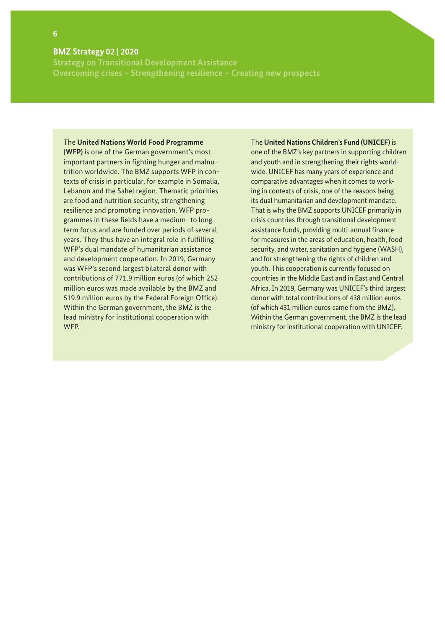#### **6**

#### **BMZ Strategy 02 | 2020**

**Strategy on Transitional Development Assistance Overcoming crises – Strengthening resilience – Creating new prospects** 

#### The **United Nations World Food Programme**

**(WFP)** is one of the German government's most important partners in fighting hunger and malnutrition worldwide. The BMZ supports WFP in contexts of crisis in particular, for example in Somalia, Lebanon and the Sahel region. Thematic priorities are food and nutrition security, strengthening resilience and promoting innovation. WFP programmes in these fields have a medium- to longterm focus and are funded over periods of several years. They thus have an integral role in fulfilling WFP's dual mandate of humanitarian assistance and development cooperation. In 2019, Germany was WFP's second largest bilateral donor with contributions of 771.9 million euros (of which 252 million euros was made available by the BMZ and 519.9 million euros by the Federal Foreign Office). Within the German government, the BMZ is the lead ministry for institutional cooperation with WFP.

#### The **United Nations Children's Fund (UNICEF)** is

one of the BMZ's key partners in supporting children and youth and in strengthening their rights worldwide. UNICEF has many years of experience and comparative advantages when it comes to working in contexts of crisis, one of the reasons being its dual humanitarian and development mandate. That is why the BMZ supports UNICEF primarily in crisis countries through transitional development assistance funds, providing multi-annual finance for measures in the areas of education, health, food security, and water, sanitation and hygiene (WASH), and for strengthening the rights of children and youth. This cooperation is currently focused on countries in the Middle East and in East and Central Africa. In 2019, Germany was UNICEF's third largest donor with total contributions of 438 million euros (of which 431 million euros came from the BMZ). Within the German government, the BMZ is the lead ministry for institutional cooperation with UNICEF.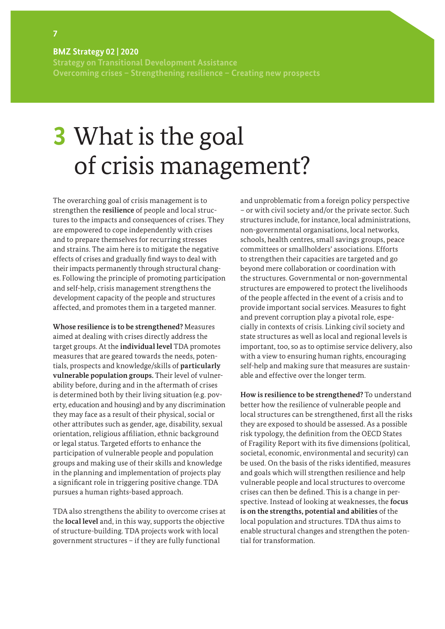**Strategy on Transitional Development Assistance Overcoming crises – Strengthening resilience – Creating new prospects** 

# **3** What is the goal of crisis management?

The overarching goal of crisis management is to strengthen the **resilience** of people and local structures to the impacts and consequences of crises. They are empowered to cope independently with crises and to prepare themselves for recurring stresses and strains. The aim here is to mitigate the negative effects of crises and gradually find ways to deal with their impacts permanently through structural changes. Following the principle of promoting participation and self-help, crisis management strengthens the development capacity of the people and structures affected, and promotes them in a targeted manner.

**Whose resilience is to be strengthened?** Measures aimed at dealing with crises directly address the target groups. At the **individual level** TDA promotes measures that are geared towards the needs, potentials, prospects and knowledge/skills of **particularly vulnerable population groups.** Their level of vulnerability before, during and in the aftermath of crises is determined both by their living situation (e.g. poverty, education and housing) and by any discrimination they may face as a result of their physical, social or other attributes such as gender, age, disability, sexual orientation, religious affiliation, ethnic background or legal status. Targeted efforts to enhance the participation of vulnerable people and population groups and making use of their skills and knowledge in the planning and implementation of projects play a significant role in triggering positive change. TDA pursues a human rights-based approach.

TDA also strengthens the ability to overcome crises at the **local level** and, in this way, supports the objective of structure-building. TDA projects work with local government structures – if they are fully functional

and unproblematic from a foreign policy perspective – or with civil society and/or the private sector. Such structures include, for instance, local administrations, non-governmental organisations, local networks, schools, health centres, small savings groups, peace committees or smallholders' associations. Efforts to strengthen their capacities are targeted and go beyond mere collaboration or coordination with the structures. Governmental or non-governmental structures are empowered to protect the livelihoods of the people affected in the event of a crisis and to provide important social services. Measures to fight and prevent corruption play a pivotal role, especially in contexts of crisis. Linking civil society and state structures as well as local and regional levels is important, too, so as to optimise service delivery, also with a view to ensuring human rights, encouraging self-help and making sure that measures are sustainable and effective over the longer term.

**How is resilience to be strengthened?** To understand better how the resilience of vulnerable people and local structures can be strengthened, first all the risks they are exposed to should be assessed. As a possible risk typology, the definition from the OECD States of Fragility Report with its five dimensions (political, societal, economic, environmental and security) can be used. On the basis of the risks identified, measures and goals which will strengthen resilience and help vulnerable people and local structures to overcome crises can then be defined. This is a change in perspective. Instead of looking at weaknesses, the **focus is on the strengths, potential and abilities** of the local population and structures. TDA thus aims to enable structural changes and strengthen the potential for transformation.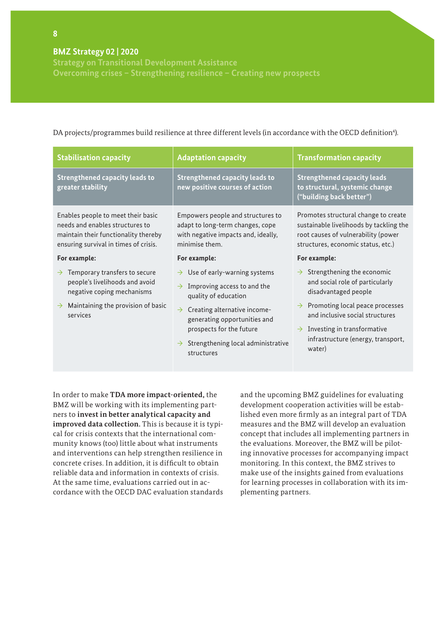**Overcoming crises – Strengthening resilience – Creating new prospects** 

#### **Stabilisation capacity Adaptation capacity Transformation capacity Strengthened capacity leads to greater stability Strengthened capacity leads to new positive courses of action Strengthened capacity leads to structural, systemic change ("building back better")** Enables people to meet their basic needs and enables structures to maintain their functionality thereby ensuring survival in times of crisis. **For example:**  $\rightarrow$  Temporary transfers to secure people's livelihoods and avoid negative coping mechanisms  $\rightarrow$  Maintaining the provision of basic services Empowers people and structures to adapt to long-term changes, cope with negative impacts and, ideally, minimise them. **For example:**  $\rightarrow$  Use of early-warning systems  $\rightarrow$  Improving access to and the quality of education  $\rightarrow$  Creating alternative incomegenerating opportunities and prospects for the future  $\rightarrow$  Strengthening local administrative structures Promotes structural change to create sustainable livelihoods by tackling the root causes of vulnerability (power structures, economic status, etc.) **For example:**  $\rightarrow$  Strengthening the economic and social role of particularly disadvantaged people  $\rightarrow$  Promoting local peace processes and inclusive social structures  $\rightarrow$  Investing in transformative infrastructure (energy, transport, water)

DA projects/programmes build resilience at three different levels (in accordance with the OECD definition<sup>4</sup>).

In order to make **TDA more impact-oriented,** the BMZ will be working with its implementing partners to **invest in better analytical capacity and improved data collection.** This is because it is typical for crisis contexts that the international community knows (too) little about what instruments and interventions can help strengthen resilience in concrete crises. In addition, it is difficult to obtain reliable data and information in contexts of crisis. At the same time, evaluations carried out in accordance with the OECD DAC evaluation standards and the upcoming BMZ guidelines for evaluating development cooperation activities will be established even more firmly as an integral part of TDA measures and the BMZ will develop an evaluation concept that includes all implementing partners in the evaluations. Moreover, the BMZ will be piloting innovative processes for accompanying impact monitoring. In this context, the BMZ strives to make use of the insights gained from evaluations for learning processes in collaboration with its implementing partners.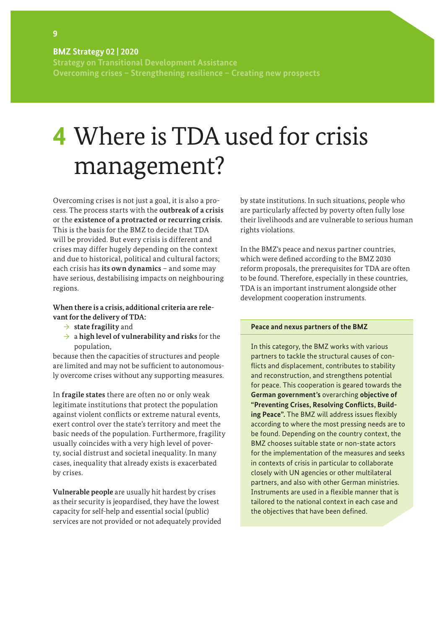**Strategy on Transitional Development Assistance Overcoming crises – Strengthening resilience – Creating new prospects** 

# **4** Where is TDA used for crisis management?

Overcoming crises is not just a goal, it is also a process. The process starts with the **outbreak of a crisis**  or the **existence of a protracted or recurring crisis.**  This is the basis for the BMZ to decide that TDA will be provided. But every crisis is different and crises may differ hugely depending on the context and due to historical, political and cultural factors; each crisis has **its own dynamics** – and some may have serious, destabilising impacts on neighbouring regions.

#### **When there is a crisis, additional criteria are relevant for the delivery of TDA:**

- → **state fragility** and
- → a **high level of vulnerability and risks** for the population,

because then the capacities of structures and people are limited and may not be sufficient to autonomously overcome crises without any supporting measures.

In **fragile states** there are often no or only weak legitimate institutions that protect the population against violent conflicts or extreme natural events, exert control over the state's territory and meet the basic needs of the population. Furthermore, fragility usually coincides with a very high level of poverty, social distrust and societal inequality. In many cases, inequality that already exists is exacerbated by crises.

**Vulnerable people** are usually hit hardest by crises as their security is jeopardised, they have the lowest capacity for self-help and essential social (public) services are not provided or not adequately provided by state institutions. In such situations, people who are particularly affected by poverty often fully lose their livelihoods and are vulnerable to serious human rights violations.

In the BMZ's peace and nexus partner countries, which were defined according to the BMZ 2030 reform proposals, the prerequisites for TDA are often to be found. Therefore, especially in these countries, TDA is an important instrument alongside other development cooperation instruments.

#### **Peace and nexus partners of the BMZ**

In this category, the BMZ works with various partners to tackle the structural causes of conflicts and displacement, contributes to stability and reconstruction, and strengthens potential for peace. This cooperation is geared towards the **German government's** overarching **objective of "Preventing Crises, Resolving Conflicts, Building Peace".** The BMZ will address issues flexibly according to where the most pressing needs are to be found. Depending on the country context, the BMZ chooses suitable state or non-state actors for the implementation of the measures and seeks in contexts of crisis in particular to collaborate closely with UN agencies or other multilateral partners, and also with other German ministries. Instruments are used in a flexible manner that is tailored to the national context in each case and the objectives that have been defined.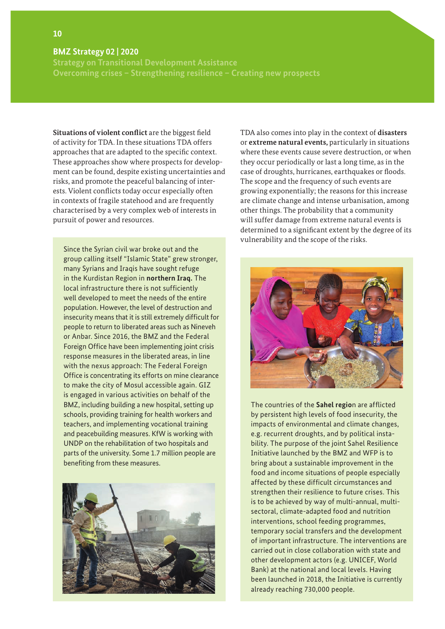**Strategy on Transitional Development Assistance Overcoming crises – Strengthening resilience – Creating new prospects** 

**Situations of violent conflict** are the biggest field of activity for TDA. In these situations TDA offers approaches that are adapted to the specific context. These approaches show where prospects for development can be found, despite existing uncertainties and risks, and promote the peaceful balancing of interests. Violent conflicts today occur especially often in contexts of fragile statehood and are frequently characterised by a very complex web of interests in pursuit of power and resources.

Since the Syrian civil war broke out and the group calling itself "Islamic State" grew stronger, many Syrians and Iraqis have sought refuge in the Kurdistan Region in **northern Iraq.** The local infrastructure there is not sufficiently well developed to meet the needs of the entire population. However, the level of destruction and insecurity means that it is still extremely difficult for people to return to liberated areas such as Nineveh or Anbar. Since 2016, the BMZ and the Federal Foreign Office have been implementing joint crisis response measures in the liberated areas, in line with the nexus approach: The Federal Foreign Office is concentrating its efforts on mine clearance to make the city of Mosul accessible again. GIZ is engaged in various activities on behalf of the BMZ, including building a new hospital, setting up schools, providing training for health workers and teachers, and implementing vocational training and peacebuilding measures. KfW is working with UNDP on the rehabilitation of two hospitals and parts of the university. Some 1.7 million people are benefiting from these measures.



TDA also comes into play in the context of **disasters** or **extreme natural events,** particularly in situations where these events cause severe destruction, or when they occur periodically or last a long time, as in the case of droughts, hurricanes, earthquakes or floods. The scope and the frequency of such events are growing exponentially; the reasons for this increase are climate change and intense urbanisation, among other things. The probability that a community will suffer damage from extreme natural events is determined to a significant extent by the degree of its vulnerability and the scope of the risks.



The countries of the **Sahel regio**n are afflicted by persistent high levels of food insecurity, the impacts of environmental and climate changes, e.g. recurrent droughts, and by political instability. The purpose of the joint Sahel Resilience Initiative launched by the BMZ and WFP is to bring about a sustainable improvement in the food and income situations of people especially affected by these difficult circumstances and strengthen their resilience to future crises. This is to be achieved by way of multi-annual, multisectoral, climate-adapted food and nutrition interventions, school feeding programmes, temporary social transfers and the development of important infrastructure. The interventions are carried out in close collaboration with state and other development actors (e.g. UNICEF, World Bank) at the national and local levels. Having been launched in 2018, the Initiative is currently already reaching 730,000 people.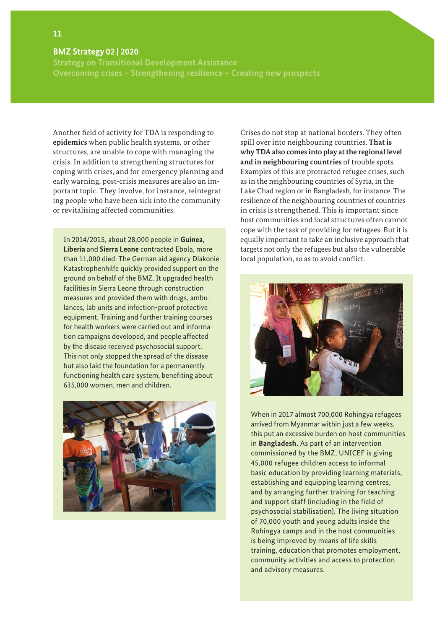**Strategy on Transitional Development Assistance Overcoming crises – Strengthening resilience – Creating new prospects** 

Another field of activity for TDA is responding to **epidemics** when public health systems, or other structures, are unable to cope with managing the crisis. In addition to strengthening structures for coping with crises, and for emergency planning and early warning, post-crisis measures are also an important topic. They involve, for instance, reintegrating people who have been sick into the community or revitalising affected communities.

In 2014/2015, about 28,000 people in **Guinea, Liberia** and **Sierra Leone** contracted Ebola, more than 11,000 died. The German aid agency Diakonie Katastrophenhilfe quickly provided support on the ground on behalf of the BMZ. It upgraded health facilities in Sierra Leone through construction measures and provided them with drugs, ambulances, lab units and infection-proof protective equipment. Training and further training courses for health workers were carried out and information campaigns developed, and people affected by the disease received psychosocial support. This not only stopped the spread of the disease but also laid the foundation for a permanently functioning health care system, benefiting about 635,000 women, men and children.



Crises do not stop at national borders. They often spill over into neighbouring countries. **That is why TDA also comes into play at the regional level and in neighbouring countries** of trouble spots. Examples of this are protracted refugee crises, such as in the neighbouring countries of Syria, in the Lake Chad region or in Bangladesh, for instance. The resilience of the neighbouring countries of countries in crisis is strengthened. This is important since host communities and local structures often cannot cope with the task of providing for refugees. But it is equally important to take an inclusive approach that targets not only the refugees but also the vulnerable local population, so as to avoid conflict.



When in 2017 almost 700,000 Rohingya refugees arrived from Myanmar within just a few weeks, this put an excessive burden on host communities in **Bangladesh.** As part of an intervention commissioned by the BMZ, UNICEF is giving 45,000 refugee children access to informal basic education by providing learning materials, establishing and equipping learning centres, and by arranging further training for teaching and support staff (including in the field of psychosocial stabilisation). The living situation of 70,000 youth and young adults inside the Rohingya camps and in the host communities is being improved by means of life skills training, education that promotes employment, community activities and access to protection and advisory measures.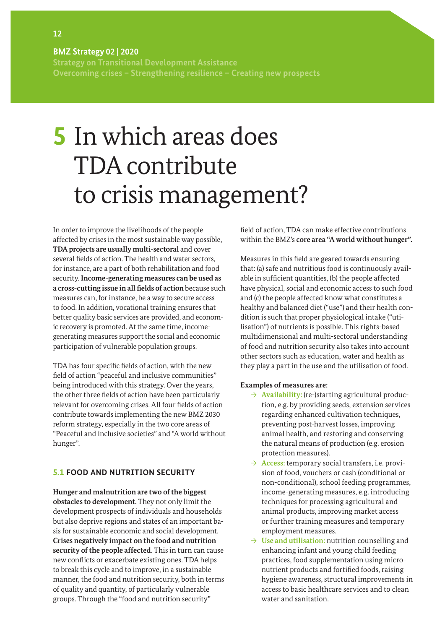**Strategy on Transitional Development Assistance Overcoming crises – Strengthening resilience – Creating new prospects** 

# **5** In which areas does TDA contribute to crisis management?

In order to improve the livelihoods of the people affected by crises in the most sustainable way possible, **TDA projects are usually multi-sectoral** and cover several fields of action. The health and water sectors, for instance, are a part of both rehabilitation and food security. **Income-generating measures can be used as a cross-cutting issue in all fields of action** because such measures can, for instance, be a way to secure access to food. In addition, vocational training ensures that better quality basic services are provided, and economic recovery is promoted. At the same time, incomegenerating measures support the social and economic participation of vulnerable population groups.

TDA has four specific fields of action, with the new field of action "peaceful and inclusive communities" being introduced with this strategy. Over the years, the other three fields of action have been particularly relevant for overcoming crises. All four fields of action contribute towards implementing the new BMZ 2030 reform strategy, especially in the two core areas of "Peaceful and inclusive societies" and "A world without hunger".

### **5.1 FOOD AND NUTRITION SECURITY**

**Hunger and malnutrition are two of the biggest obstacles to development.** They not only limit the development prospects of individuals and households but also deprive regions and states of an important basis for sustainable economic and social development. **Crises negatively impact on the food and nutrition security of the people affected.** This in turn can cause new conflicts or exacerbate existing ones. TDA helps to break this cycle and to improve, in a sustainable manner, the food and nutrition security, both in terms of quality and quantity, of particularly vulnerable groups. Through the "food and nutrition security"

field of action, TDA can make effective contributions within the BMZ's **core area "A world without hunger".**

Measures in this field are geared towards ensuring that: (a) safe and nutritious food is continuously available in sufficient quantities, (b) the people affected have physical, social and economic access to such food and (c) the people affected know what constitutes a healthy and balanced diet ("use") and their health condition is such that proper physiological intake ("utilisation") of nutrients is possible. This rights-based multidimensional and multi-sectoral understanding of food and nutrition security also takes into account other sectors such as education, water and health as they play a part in the use and the utilisation of food.

#### **Examples of measures are:**

- → **Availability:** (re-)starting agricultural production, e.g. by providing seeds, extension services regarding enhanced cultivation techniques, preventing post-harvest losses, improving animal health, and restoring and conserving the natural means of production (e.g. erosion protection measures).
- → **Access:** temporary social transfers, i.e. provision of food, vouchers or cash (conditional or non-conditional), school feeding programmes, income-generating measures, e.g. introducing techniques for processing agricultural and animal products, improving market access or further training measures and temporary employment measures.
- → **Use and utilisation:** nutrition counselling and enhancing infant and young child feeding practices, food supplementation using micronutrient products and fortified foods, raising hygiene awareness, structural improvements in access to basic healthcare services and to clean water and sanitation.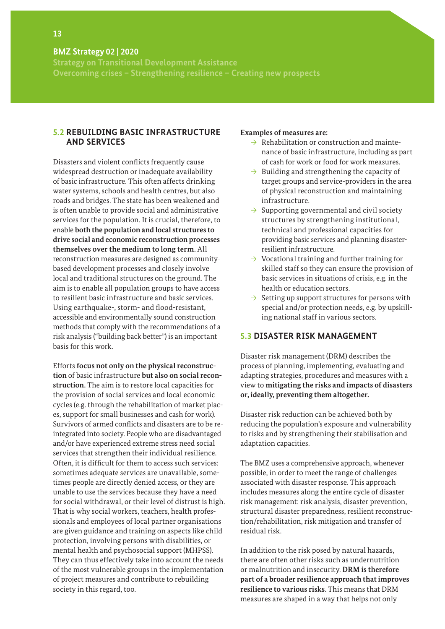**Strategy on Transitional Development Assistance Overcoming crises – Strengthening resilience – Creating new prospects** 

### **5.2 REBUILDING BASIC INFRASTRUCTURE AND SERVICES**

Disasters and violent conflicts frequently cause widespread destruction or inadequate availability of basic infrastructure. This often affects drinking water systems, schools and health centres, but also roads and bridges. The state has been weakened and is often unable to provide social and administrative services for the population. It is crucial, therefore, to enable **both the population and local structures to drive social and economic reconstruction processes themselves over the medium to long term.** All reconstruction measures are designed as communitybased development processes and closely involve local and traditional structures on the ground. The aim is to enable all population groups to have access to resilient basic infrastructure and basic services. Using earthquake-, storm- and flood-resistant, accessible and environmentally sound construction methods that comply with the recommendations of a risk analysis ("building back better") is an important basis for this work.

Efforts **focus not only on the physical reconstruction** of basic infrastructure **but also on social reconstruction.** The aim is to restore local capacities for the provision of social services and local economic cycles (e.g. through the rehabilitation of market places, support for small businesses and cash for work). Survivors of armed conflicts and disasters are to be reintegrated into society. People who are disadvantaged and/or have experienced extreme stress need social services that strengthen their individual resilience. Often, it is difficult for them to access such services: sometimes adequate services are unavailable, sometimes people are directly denied access, or they are unable to use the services because they have a need for social withdrawal, or their level of distrust is high. That is why social workers, teachers, health professionals and employees of local partner organisations are given guidance and training on aspects like child protection, involving persons with disabilities, or mental health and psychosocial support (MHPSS). They can thus effectively take into account the needs of the most vulnerable groups in the implementation of project measures and contribute to rebuilding society in this regard, too.

#### **Examples of measures are:**

- $\rightarrow$  Rehabilitation or construction and maintenance of basic infrastructure, including as part of cash for work or food for work measures.
- $\rightarrow$  Building and strengthening the capacity of target groups and service-providers in the area of physical reconstruction and maintaining infrastructure.
- $\rightarrow$  Supporting governmental and civil society structures by strengthening institutional, technical and professional capacities for providing basic services and planning disasterresilient infrastructure.
- $\rightarrow$  Vocational training and further training for skilled staff so they can ensure the provision of basic services in situations of crisis, e.g. in the health or education sectors.
- $\rightarrow$  Setting up support structures for persons with special and/or protection needs, e.g. by upskilling national staff in various sectors.

#### **5.3 DISASTER RISK MANAGEMENT**

Disaster risk management (DRM) describes the process of planning, implementing, evaluating and adapting strategies, procedures and measures with a view to **mitigating the risks and impacts of disasters or, ideally, preventing them altogether.**

Disaster risk reduction can be achieved both by reducing the population's exposure and vulnerability to risks and by strengthening their stabilisation and adaptation capacities.

The BMZ uses a comprehensive approach, whenever possible, in order to meet the range of challenges associated with disaster response. This approach includes measures along the entire cycle of disaster risk management: risk analysis, disaster prevention, structural disaster preparedness, resilient reconstruction/rehabilitation, risk mitigation and transfer of residual risk.

In addition to the risk posed by natural hazards, there are often other risks such as undernutrition or malnutrition and insecurity. **DRM is therefore part of a broader resilience approach that improves resilience to various risks.** This means that DRM measures are shaped in a way that helps not only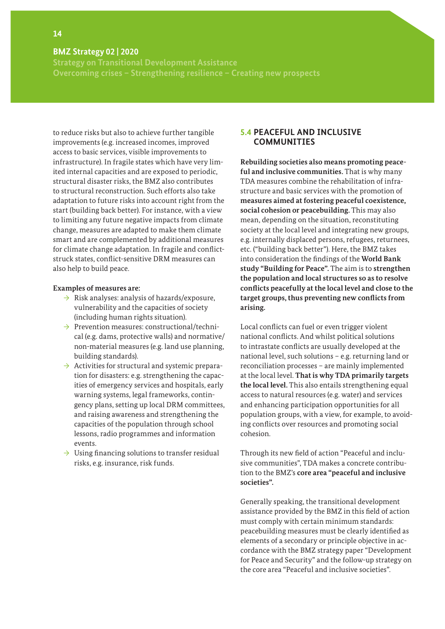**Strategy on Transitional Development Assistance Overcoming crises – Strengthening resilience – Creating new prospects** 

to reduce risks but also to achieve further tangible improvements (e.g. increased incomes, improved access to basic services, visible improvements to infrastructure). In fragile states which have very limited internal capacities and are exposed to periodic, structural disaster risks, the BMZ also contributes to structural reconstruction. Such efforts also take adaptation to future risks into account right from the start (building back better). For instance, with a view to limiting any future negative impacts from climate change, measures are adapted to make them climate smart and are complemented by additional measures for climate change adaptation. In fragile and conflictstruck states, conflict-sensitive DRM measures can also help to build peace.

#### **Examples of measures are:**

- $\rightarrow$  Risk analyses: analysis of hazards/exposure, vulnerability and the capacities of society (including human rights situation).
- $\rightarrow$  Prevention measures: constructional/technical (e.g. dams, protective walls) and normative/ non-material measures (e.g. land use planning, building standards).
- $\rightarrow$  Activities for structural and systemic preparation for disasters: e.g. strengthening the capacities of emergency services and hospitals, early warning systems, legal frameworks, contingency plans, setting up local DRM committees, and raising awareness and strengthening the capacities of the population through school lessons, radio programmes and information events.
- $\rightarrow$  Using financing solutions to transfer residual risks, e.g. insurance, risk funds.

### **5.4 PEACEFUL AND INCLUSIVE COMMUNITIES**

**Rebuilding societies also means promoting peaceful and inclusive communities.** That is why many TDA measures combine the rehabilitation of infrastructure and basic services with the promotion of **measures aimed at fostering peaceful coexistence, social cohesion or peacebuilding.** This may also mean, depending on the situation, reconstituting society at the local level and integrating new groups, e.g. internally displaced persons, refugees, returnees, etc. ("building back better"). Here, the BMZ takes into consideration the findings of the **World Bank study "Building for Peace".** The aim is to **strengthen the population and local structures so as to resolve conflicts peacefully at the local level and close to the target groups, thus preventing new conflicts from arising.** 

Local conflicts can fuel or even trigger violent national conflicts. And whilst political solutions to intrastate conflicts are usually developed at the national level, such solutions – e.g. returning land or reconciliation processes – are mainly implemented at the local level. **That is why TDA primarily targets the local level.** This also entails strengthening equal access to natural resources (e.g. water) and services and enhancing participation opportunities for all population groups, with a view, for example, to avoiding conflicts over resources and promoting social cohesion.

Through its new field of action "Peaceful and inclusive communities", TDA makes a concrete contribution to the BMZ's **core area "peaceful and inclusive societies".** 

Generally speaking, the transitional development assistance provided by the BMZ in this field of action must comply with certain minimum standards: peacebuilding measures must be clearly identified as elements of a secondary or principle objective in accordance with the BMZ strategy paper "Development for Peace and Security" and the follow-up strategy on the core area "Peaceful and inclusive societies".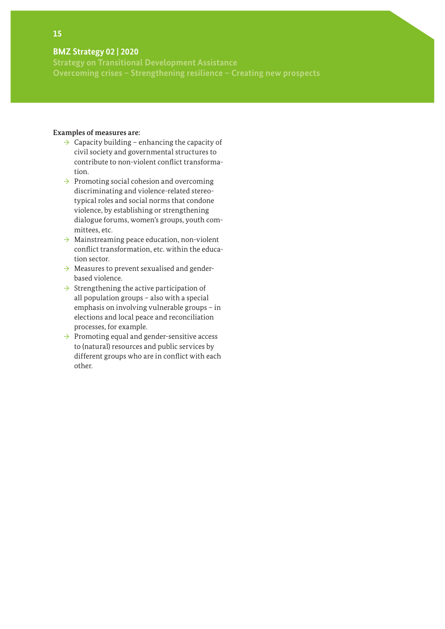**Strategy on Transitional Development Assistance Overcoming crises – Strengthening resilience – Creating new prospects** 

#### **Examples of measures are:**

- $\rightarrow$  Capacity building enhancing the capacity of civil society and governmental structures to contribute to non-violent conflict transformation.
- $\rightarrow$  Promoting social cohesion and overcoming discriminating and violence-related stereotypical roles and social norms that condone violence, by establishing or strengthening dialogue forums, women's groups, youth committees, etc.
- $\rightarrow$  Mainstreaming peace education, non-violent conflict transformation, etc. within the education sector.
- $\rightarrow$  Measures to prevent sexualised and genderbased violence.
- $\rightarrow$  Strengthening the active participation of all population groups – also with a special emphasis on involving vulnerable groups – in elections and local peace and reconciliation processes, for example.
- $\rightarrow$  Promoting equal and gender-sensitive access to (natural) resources and public services by different groups who are in conflict with each other.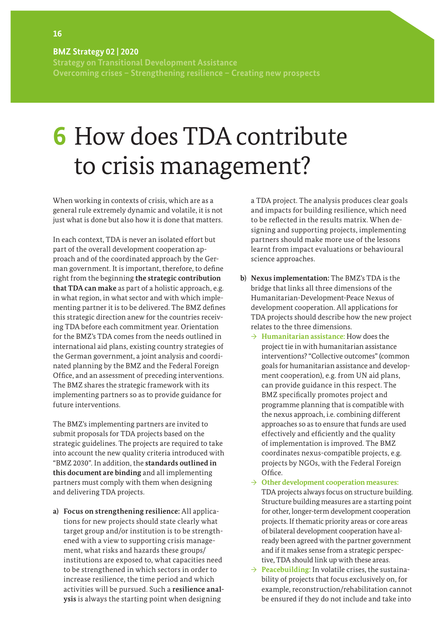**Strategy on Transitional Development Assistance Overcoming crises – Strengthening resilience – Creating new prospects** 

# **6** How does TDA contribute to crisis management?

When working in contexts of crisis, which are as a general rule extremely dynamic and volatile, it is not just what is done but also how it is done that matters.

In each context, TDA is never an isolated effort but part of the overall development cooperation approach and of the coordinated approach by the German government. It is important, therefore, to define right from the beginning **the strategic contribution that TDA can make** as part of a holistic approach, e.g. in what region, in what sector and with which implementing partner it is to be delivered. The BMZ defines this strategic direction anew for the countries receiving TDA before each commitment year. Orientation for the BMZ's TDA comes from the needs outlined in international aid plans, existing country strategies of the German government, a joint analysis and coordinated planning by the BMZ and the Federal Foreign Office, and an assessment of preceding interventions. The BMZ shares the strategic framework with its implementing partners so as to provide guidance for future interventions.

The BMZ's implementing partners are invited to submit proposals for TDA projects based on the strategic guidelines. The projects are required to take into account the new quality criteria introduced with "BMZ 2030". In addition, the **standards outlined in this document are binding** and all implementing partners must comply with them when designing and delivering TDA projects.

**a) Focus on strengthening resilience:** All applications for new projects should state clearly what target group and/or institution is to be strengthened with a view to supporting crisis management, what risks and hazards these groups/ institutions are exposed to, what capacities need to be strengthened in which sectors in order to increase resilience, the time period and which activities will be pursued. Such a **resilience analysis** is always the starting point when designing

a TDA project. The analysis produces clear goals and impacts for building resilience, which need to be reflected in the results matrix. When designing and supporting projects, implementing partners should make more use of the lessons learnt from impact evaluations or behavioural science approaches.

- **b) Nexus implementation:** The BMZ's TDA is the bridge that links all three dimensions of the Humanitarian-Development-Peace Nexus of development cooperation. All applications for TDA projects should describe how the new project relates to the three dimensions.
	- → **Humanitarian assistance:** How does the project tie in with humanitarian assistance interventions? "Collective outcomes" (common goals for humanitarian assistance and development cooperation), e.g. from UN aid plans, can provide guidance in this respect. The BMZ specifically promotes project and programme planning that is compatible with the nexus approach, i.e. combining different approaches so as to ensure that funds are used effectively and efficiently and the quality of implementation is improved. The BMZ coordinates nexus-compatible projects, e.g. projects by NGOs, with the Federal Foreign Office.
	- → **Other development cooperation measures:**  TDA projects always focus on structure building. Structure building measures are a starting point for other, longer-term development cooperation projects. If thematic priority areas or core areas of bilateral development cooperation have already been agreed with the partner government and if it makes sense from a strategic perspective, TDA should link up with these areas.
	- $\rightarrow$  **Peacebuilding:** In volatile crises, the sustainability of projects that focus exclusively on, for example, reconstruction/rehabilitation cannot be ensured if they do not include and take into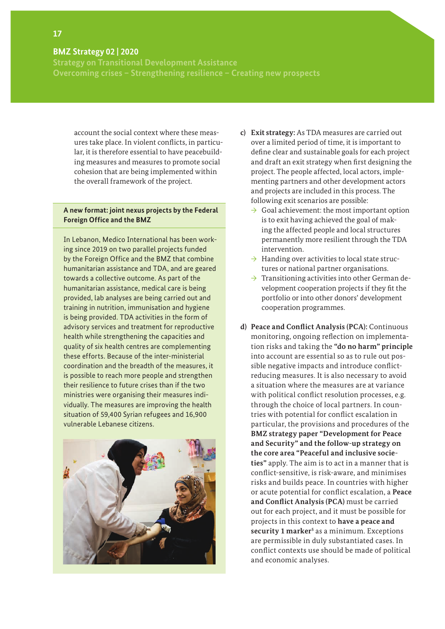**Strategy on Transitional Development Assistance Overcoming crises – Strengthening resilience – Creating new prospects** 

account the social context where these measures take place. In violent conflicts, in particular, it is therefore essential to have peacebuilding measures and measures to promote social cohesion that are being implemented within the overall framework of the project.

#### **A new format: joint nexus projects by the Federal Foreign Office and the BMZ**

In Lebanon, Medico International has been working since 2019 on two parallel projects funded by the Foreign Office and the BMZ that combine humanitarian assistance and TDA, and are geared towards a collective outcome. As part of the humanitarian assistance, medical care is being provided, lab analyses are being carried out and training in nutrition, immunisation and hygiene is being provided. TDA activities in the form of advisory services and treatment for reproductive health while strengthening the capacities and quality of six health centres are complementing these efforts. Because of the inter-ministerial coordination and the breadth of the measures, it is possible to reach more people and strengthen their resilience to future crises than if the two ministries were organising their measures individually. The measures are improving the health situation of 59,400 Syrian refugees and 16,900 vulnerable Lebanese citizens.



- **c) Exit strategy:** As TDA measures are carried out over a limited period of time, it is important to define clear and sustainable goals for each project and draft an exit strategy when first designing the project. The people affected, local actors, implementing partners and other development actors and projects are included in this process. The following exit scenarios are possible:
	- $\rightarrow$  Goal achievement: the most important option is to exit having achieved the goal of making the affected people and local structures permanently more resilient through the TDA intervention.
	- $\rightarrow$  Handing over activities to local state structures or national partner organisations.
	- $\rightarrow$  Transitioning activities into other German development cooperation projects if they fit the portfolio or into other donors' development cooperation programmes.
- **d) Peace and Conflict Analysis (PCA):** Continuous monitoring, ongoing reflection on implementation risks and taking the **"do no harm" principle** into account are essential so as to rule out possible negative impacts and introduce conflictreducing measures. It is also necessary to avoid a situation where the measures are at variance with political conflict resolution processes, e.g. through the choice of local partners. In countries with potential for conflict escalation in particular, the provisions and procedures of the **BMZ strategy paper "Development for Peace and Security" and the follow-up strategy on the core area "Peaceful and inclusive societies"** apply. The aim is to act in a manner that is conflict-sensitive, is risk-aware, and minimises risks and builds peace. In countries with higher or acute potential for conflict escalation, a **Peace and Conflict Analysis (PCA)** must be carried out for each project, and it must be possible for projects in this context to **have a peace and**  security 1 marker<sup>5</sup> as a minimum. Exceptions are permissible in duly substantiated cases. In conflict contexts use should be made of political and economic analyses.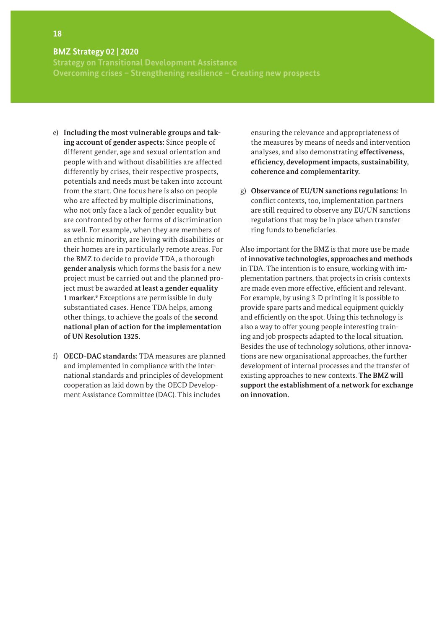**Strategy on Transitional Development Assistance Overcoming crises – Strengthening resilience – Creating new prospects** 

- e) **Including the most vulnerable groups and taking account of gender aspects:** Since people of different gender, age and sexual orientation and people with and without disabilities are affected differently by crises, their respective prospects, potentials and needs must be taken into account from the start. One focus here is also on people who are affected by multiple discriminations, who not only face a lack of gender equality but are confronted by other forms of discrimination as well. For example, when they are members of an ethnic minority, are living with disabilities or their homes are in particularly remote areas. For the BMZ to decide to provide TDA, a thorough **gender analysis** which forms the basis for a new project must be carried out and the planned project must be awarded **at least a gender equality 1 marker.6** Exceptions are permissible in duly substantiated cases. Hence TDA helps, among other things, to achieve the goals of the **second national plan of action for the implementation of UN Resolution 1325.**
- f) **OECD-DAC standards:** TDA measures are planned and implemented in compliance with the international standards and principles of development cooperation as laid down by the OECD Development Assistance Committee (DAC). This includes

ensuring the relevance and appropriateness of the measures by means of needs and intervention analyses, and also demonstrating **effectiveness, efficiency, development impacts, sustainability, coherence and complementarity.** 

g) **Observance of EU/UN sanctions regulations:** In conflict contexts, too, implementation partners are still required to observe any EU/UN sanctions regulations that may be in place when transferring funds to beneficiaries.

Also important for the BMZ is that more use be made of **innovative technologies, approaches and methods**  in TDA. The intention is to ensure, working with implementation partners, that projects in crisis contexts are made even more effective, efficient and relevant. For example, by using 3-D printing it is possible to provide spare parts and medical equipment quickly and efficiently on the spot. Using this technology is also a way to offer young people interesting training and job prospects adapted to the local situation. Besides the use of technology solutions, other innovations are new organisational approaches, the further development of internal processes and the transfer of existing approaches to new contexts. **The BMZ will support the establishment of a network for exchange on innovation.**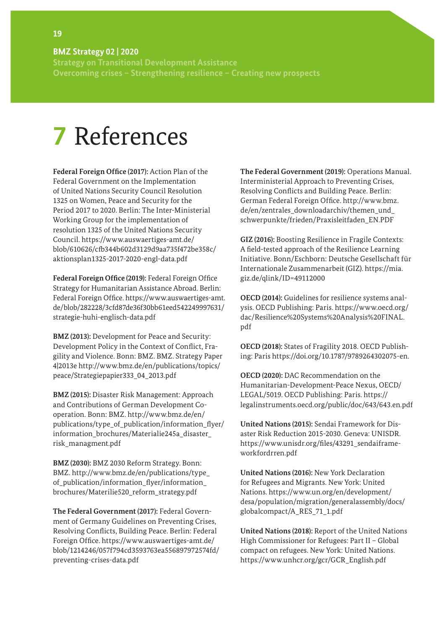**Strategy on Transitional Development Assistance Overcoming crises – Strengthening resilience – Creating new prospects** 

## **7** References

**Federal Foreign Office (2017):** Action Plan of the Federal Government on the Implementation of United Nations Security Council Resolution 1325 on Women, Peace and Security for the Period 2017 to 2020. Berlin: The Inter-Ministerial Working Group for the implementation of resolution 1325 of the United Nations Security Council. https://www.auswaertiges-amt.de/ blob/610626/cfb344b602d3129d9aa735f472be358c/ aktionsplan1325-2017-2020-engl-data.pdf

**Federal Foreign Office (2019):** Federal Foreign Office Strategy for Humanitarian Assistance Abroad. Berlin: Federal Foreign Office. https://www.auswaertiges-amt. de/blob/282228/3cfd87de36f30bb61eed542249997631/ strategie-huhi-englisch-data.pdf

**BMZ (2013):** Development for Peace and Security: Development Policy in the Context of Conflict, Fragility and Violence. Bonn: BMZ. BMZ. Strategy Paper 4|2013e http://www.bmz.de/en/publications/topics/ peace/Strategiepapier333\_04\_2013.pdf

**BMZ (2015):** Disaster Risk Management: Approach and Contributions of German Development Cooperation. Bonn: BMZ. http://www.bmz.de/en/ publications/type\_of\_publication/information\_flyer/ information\_brochures/Materialie245a\_disaster\_ risk\_managment.pdf

**BMZ (2030):** BMZ 2030 Reform Strategy. Bonn: BMZ. http://www.bmz.de/en/publications/type\_ of publication/information flyer/information brochures/Materilie520\_reform\_strategy.pdf

**The Federal Government (2017):** Federal Government of Germany Guidelines on Preventing Crises, Resolving Conflicts, Building Peace. Berlin: Federal Foreign Office. https://www.auswaertiges-amt.de/ blob/1214246/057f794cd3593763ea556897972574fd/ preventing-crises-data.pdf

**The Federal Government (2019):** Operations Manual. Interministerial Approach to Preventing Crises, Resolving Conflicts and Building Peace. Berlin: German Federal Foreign Office. http://www.bmz. de/en/zentrales\_downloadarchiv/themen\_und\_ schwerpunkte/frieden/Praxisleitfaden\_EN.PDF

**GIZ (2016):** Boosting Resilience in Fragile Contexts: A field-tested approach of the Resilience Learning Initiative. Bonn/Eschborn: Deutsche Gesellschaft für Internationale Zusammenarbeit (GIZ). https://mia. giz.de/qlink/ID=49112000

**OECD (2014):** Guidelines for resilience systems analysis. OECD Publishing: Paris. https://www.oecd.org/ dac/Resilience%20Systems%20Analysis%20FINAL. pdf

**OECD (2018):** States of Fragility 2018. OECD Publishing: Paris https://doi.org/10.1787/9789264302075-en.

**OECD (2020):** DAC Recommendation on the Humanitarian-Development-Peace Nexus, OECD/ LEGAL/5019. OECD Publishing: Paris. https:// legalinstruments.oecd.org/public/doc/643/643.en.pdf

**United Nations (2015):** Sendai Framework for Disaster Risk Reduction 2015-2030. Geneva: UNISDR. https://www.unisdr.org/files/43291\_sendaiframeworkfordrren.pdf

**United Nations (2016):** New York Declaration for Refugees and Migrants. New York: United Nations. https://www.un.org/en/development/ desa/population/migration/generalassembly/docs/ globalcompact/A\_RES\_71\_1.pdf

**United Nations (2018):** Report of the United Nations High Commissioner for Refugees: Part II – Global compact on refugees. New York: United Nations. https://www.unhcr.org/gcr/GCR\_English.pdf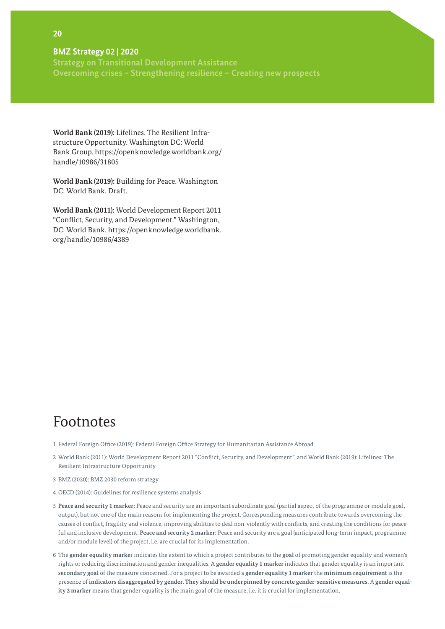**Strategy on Transitional Development Assistance Overcoming crises – Strengthening resilience – Creating new prospects** 

**World Bank (2019):** Lifelines. The Resilient Infrastructure Opportunity. Washington DC: World Bank Group. https://openknowledge.worldbank.org/ handle/10986/31805

**World Bank (2019):** Building for Peace. Washington DC: World Bank. Draft.

**World Bank (2011):** World Development Report 2011 "Conflict, Security, and Development." Washington, DC: World Bank. https://openknowledge.worldbank. org/handle/10986/4389

### Footnotes

- 1 Federal Foreign Office (2019): Federal Foreign Office Strategy for Humanitarian Assistance Abroad
- 2 World Bank (2011): World Development Report 2011 "Conflict, Security, and Development", and World Bank (2019): Lifelines: The Resilient Infrastructure Opportunity
- 3 BMZ (2020): BMZ 2030 reform strategy
- 4 OECD (2014): Guidelines for resilience systems analysis
- 5 **Peace and security 1 marker:** Peace and security are an important subordinate goal (partial aspect of the programme or module goal, output), but not one of the main reasons for implementing the project. Corresponding measures contribute towards overcoming the causes of conflict, fragility and violence, improving abilities to deal non-violently with conflicts, and creating the conditions for peaceful and inclusive development. **Peace and security 2 marker:** Peace and security are a goal (anticipated long-term impact, programme and/or module level) of the project, i.e. are crucial for its implementation.
- 6 The **gender equality marke**r indicates the extent to which a project contributes to the **goal** of promoting gender equality and women's rights or reducing discrimination and gender inequalities. A **gender equality 1 marker** indicates that gender equality is an important **secondary goal** of the measure concerned. For a project to be awarded a **gender equality 1 marker** the **minimum requirement** is the presence of **indicators disaggregated by gender. They should be underpinned by concrete gender-sensitive measures.** A **gender equality 2 marker** means that gender equality is the main goal of the measure, i.e. it is crucial for implementation.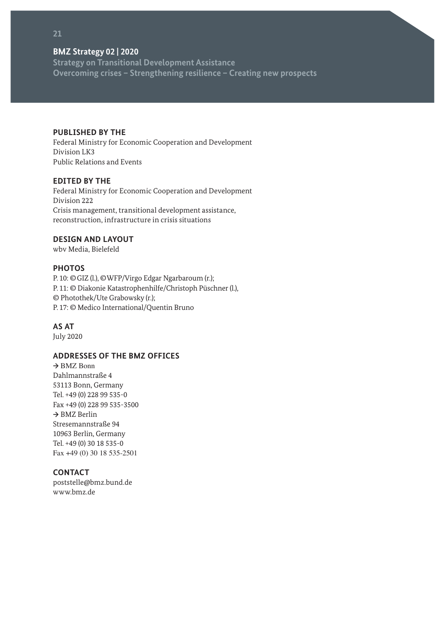**Strategy on Transitional Development Assistance Overcoming crises – Strengthening resilience – Creating new prospects** 

#### **PUBLISHED BY THE**

Federal Ministry for Economic Cooperation and Development Division LK3 Public Relations and Events

#### **EDITED BY THE**

Federal Ministry for Economic Cooperation and Development Division 222 Crisis management, transitional development assistance, reconstruction, infrastructure in crisis situations

#### **DESIGN AND LAYOUT**

wbv Media, Bielefeld

#### **PHOTOS**

P. 10: ©GIZ (l.), ©WFP/Virgo Edgar Ngarbaroum (r.); P. 11: © Diakonie Katastrophenhilfe/Christoph Püschner (l.), © Photothek/Ute Grabowsky (r.); P. 17: © Medico International/Quentin Bruno

#### **AS AT**

July 2020

### **ADDRESSES OF THE BMZ OFFICES**

**→** BMZ Bonn Dahlmannstraße 4 53113 Bonn, Germany Tel. +49 (0) 228 99 535-0 Fax +49 (0) 228 99 535-3500 **→** BMZ Berlin Stresemannstraße 94 10963 Berlin, Germany Tel. +49 (0) 30 18 535-0 Fax +49 (0) 30 18 535-2501

### **CONTACT**

[poststelle@bmz.bund.de](mailto:poststelle%40bmz.bund.de?subject=) [www.bmz.de](http://www.bmz.de)